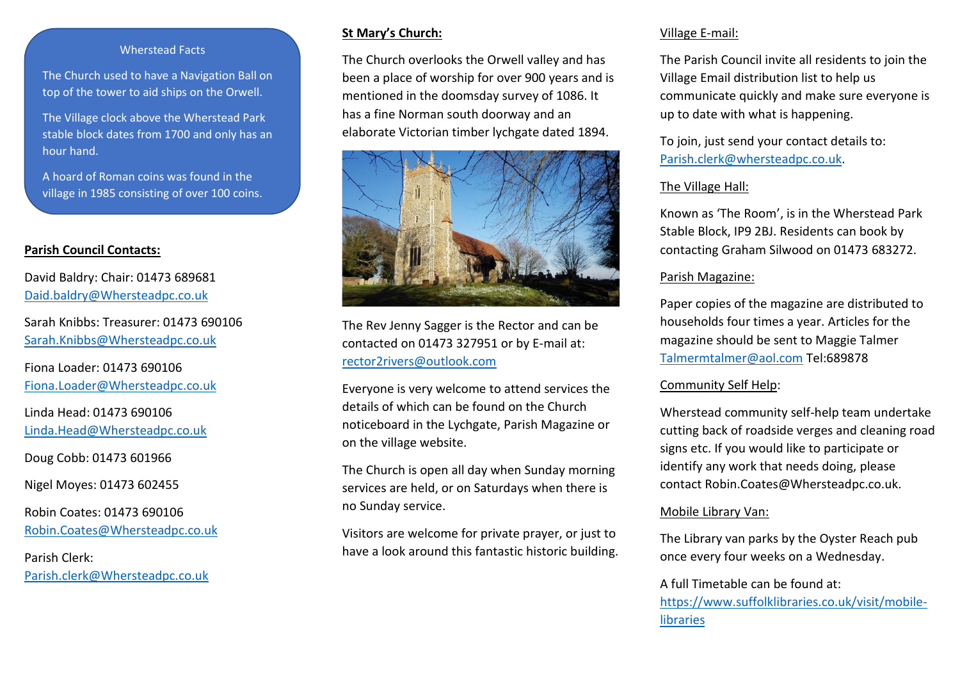#### Wherstead Facts

The Church used to have a Navigation Ball on top of the tower to aid ships on the Orwell.

The Village clock above the Wherstead Park stable block dates from 1700 and only has an hour hand.

A hoard of Roman coins was found in the village in 1985 consisting of over 100 coins.

#### **Parish Council Contacts:**

David Baldry: Chair: 01473 689681 [Daid.baldry@Whersteadpc.co.uk](mailto:Daid.baldry@Whersteadpc.co.uk)

Sarah Knibbs: Treasurer: 01473 690106 [Sarah.Knibbs@Whersteadpc.co.uk](mailto:Sarah.Knibbs@Whersteadpc.co.uk)

Fiona Loader: 01473 690106 [Fiona.Loader@Whersteadpc.co.uk](mailto:Fiona.Loader@Whersteadpc.co.uk)

Linda Head: 01473 690106 [Linda.Head@Whersteadpc.co.uk](mailto:Linda.Head@Whersteadpc.co.uk)

Doug Cobb: 01473 601966

Nigel Moyes: 01473 602455

Robin Coates: 01473 690106 [Robin.Coates@Whersteadpc.co.uk](mailto:Robin.Coates@Whersteadpc.co.uk)

Parish Clerk: [Parish.clerk@Whersteadpc.co.uk](mailto:Parish.clerk@Whersteadpc.co.uk)

#### **St Mary's Church:**

The Church overlooks the Orwell valley and has been a place of worship for over 900 years and is mentioned in the doomsday survey of 1086. It has a fine Norman south doorway and an elaborate Victorian timber lychgate dated 1894.



The Rev Jenny Sagger is the Rector and can be contacted on 01473 327951 or by E-mail at: [rector2rivers@outlook.com](mailto:rector2rivers@outlook.com)

Everyone is very welcome to attend services the details of which can be found on the Church noticeboard in the Lychgate, Parish Magazine or on the village website.

The Church is open all day when Sunday morning services are held, or on Saturdays when there is no Sunday service.

Visitors are welcome for private prayer, or just to have a look around this fantastic historic building.

#### Village E-mail:

The Parish Council invite all residents to join the Village Email distribution list to help us communicate quickly and make sure everyone is up to date with what is happening.

To join, just send your contact details to: [Parish.clerk@whersteadpc.co.uk.](mailto:Parish.clerk@whersteadpc.co.uk)

## The Village Hall:

Known as 'The Room', is in the Wherstead Park Stable Block, IP9 2BJ. Residents can book by contacting Graham Silwood on 01473 683272.

#### Parish Magazine:

Paper copies of the magazine are distributed to households four times a year. Articles for the magazine should be sent to Maggie Talmer [Talmermtalmer@aol.com](mailto:Talmermtalmer@aol.com) Tel:689878

## Community Self Help:

Wherstead community self-help team undertake cutting back of roadside verges and cleaning road signs etc. If you would like to participate or identify any work that needs doing, please contact Robin.Coates@Whersteadpc.co.uk.

## Mobile Library Van:

The Library van parks by the Oyster Reach pub once every four weeks on a Wednesday.

## A full Timetable can be found at:

[https://www.suffolklibraries.co.uk/visit/mobile](https://www.suffolklibraries.co.uk/visit/mobile-libraries)[libraries](https://www.suffolklibraries.co.uk/visit/mobile-libraries)